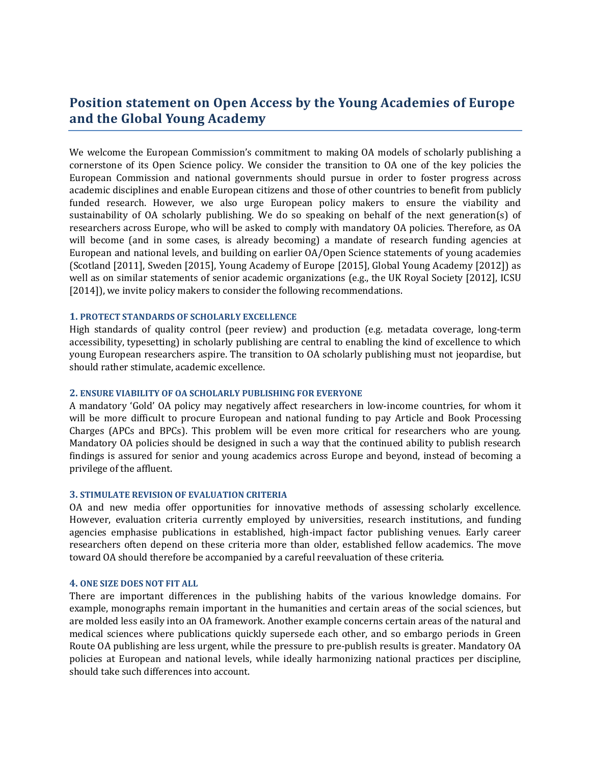# **Position statement on Open Access by the Young Academies of Europe and the Global Young Academy**

We welcome the European Commission's commitment to making OA models of scholarly publishing a cornerstone of its Open Science policy. We consider the transition to OA one of the key policies the European Commission and national governments should pursue in order to foster progress across academic disciplines and enable European citizens and those of other countries to benefit from publicly funded research. However, we also urge European policy makers to ensure the viability and sustainability of OA scholarly publishing. We do so speaking on behalf of the next generation(s) of researchers across Europe, who will be asked to comply with mandatory OA policies. Therefore, as OA will become (and in some cases, is already becoming) a mandate of research funding agencies at European and national levels, and building on earlier OA/Open Science statements of young academies (Scotland [2011], Sweden [2015], Young Academy of Europe [2015], Global Young Academy [2012]) as well as on similar statements of senior academic organizations (e.g., the UK Royal Society [2012], ICSU [2014]), we invite policy makers to consider the following recommendations.

#### **1. PROTECT STANDARDS OF SCHOLARLY EXCELLENCE**

High standards of quality control (peer review) and production (e.g. metadata coverage, long-term accessibility, typesetting) in scholarly publishing are central to enabling the kind of excellence to which young European researchers aspire. The transition to OA scholarly publishing must not jeopardise, but should rather stimulate, academic excellence.

# **2. ENSURE VIABILITY OF OA SCHOLARLY PUBLISHING FOR EVERYONE**

A mandatory 'Gold' OA policy may negatively affect researchers in low-income countries, for whom it will be more difficult to procure European and national funding to pay Article and Book Processing Charges (APCs and BPCs). This problem will be even more critical for researchers who are young. Mandatory OA policies should be designed in such a way that the continued ability to publish research findings is assured for senior and young academics across Europe and beyond, instead of becoming a privilege of the affluent.

#### **3. STIMULATE REVISION OF EVALUATION CRITERIA**

OA and new media offer opportunities for innovative methods of assessing scholarly excellence. However, evaluation criteria currently employed by universities, research institutions, and funding agencies emphasise publications in established, high-impact factor publishing venues. Early career researchers often depend on these criteria more than older, established fellow academics. The move toward OA should therefore be accompanied by a careful reevaluation of these criteria.

### **4. ONE SIZE DOES NOT FIT ALL**

There are important differences in the publishing habits of the various knowledge domains. For example, monographs remain important in the humanities and certain areas of the social sciences, but are molded less easily into an OA framework. Another example concerns certain areas of the natural and medical sciences where publications quickly supersede each other, and so embargo periods in Green Route OA publishing are less urgent, while the pressure to pre-publish results is greater. Mandatory OA policies at European and national levels, while ideally harmonizing national practices per discipline, should take such differences into account.